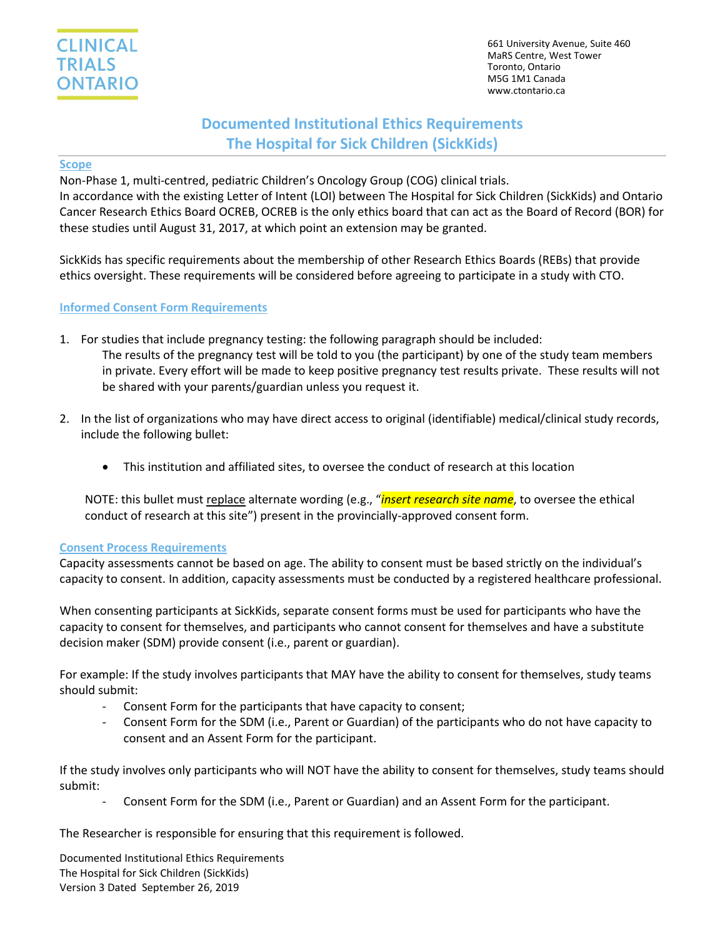661 University Avenue, Suite 460 MaRS Centre, West Tower Toronto, Ontario M5G 1M1 Canada www.ctontario.ca

# **Documented Institutional Ethics Requirements The Hospital for Sick Children (SickKids)**

#### **Scope**

Non-Phase 1, multi-centred, pediatric Children's Oncology Group (COG) clinical trials. In accordance with the existing Letter of Intent (LOI) between The Hospital for Sick Children (SickKids) and Ontario Cancer Research Ethics Board OCREB, OCREB is the only ethics board that can act as the Board of Record (BOR) for these studies until August 31, 2017, at which point an extension may be granted.

SickKids has specific requirements about the membership of other Research Ethics Boards (REBs) that provide ethics oversight. These requirements will be considered before agreeing to participate in a study with CTO.

# **Informed Consent Form Requirements**

- 1. For studies that include pregnancy testing: the following paragraph should be included: The results of the pregnancy test will be told to you (the participant) by one of the study team members in private. Every effort will be made to keep positive pregnancy test results private. These results will not be shared with your parents/guardian unless you request it.
- 2. In the list of organizations who may have direct access to original (identifiable) medical/clinical study records, include the following bullet:
	- This institution and affiliated sites, to oversee the conduct of research at this location

NOTE: this bullet must replace alternate wording (e.g., "*insert research site name*, to oversee the ethical conduct of research at this site") present in the provincially-approved consent form.

# **Consent Process Requirements**

Capacity assessments cannot be based on age. The ability to consent must be based strictly on the individual's capacity to consent. In addition, capacity assessments must be conducted by a registered healthcare professional.

When consenting participants at SickKids, separate consent forms must be used for participants who have the capacity to consent for themselves, and participants who cannot consent for themselves and have a substitute decision maker (SDM) provide consent (i.e., parent or guardian).

For example: If the study involves participants that MAY have the ability to consent for themselves, study teams should submit:

- Consent Form for the participants that have capacity to consent;
- Consent Form for the SDM (i.e., Parent or Guardian) of the participants who do not have capacity to consent and an Assent Form for the participant.

If the study involves only participants who will NOT have the ability to consent for themselves, study teams should submit:

Consent Form for the SDM (i.e., Parent or Guardian) and an Assent Form for the participant.

The Researcher is responsible for ensuring that this requirement is followed.

Documented Institutional Ethics Requirements The Hospital for Sick Children (SickKids) Version 3 Dated September 26, 2019